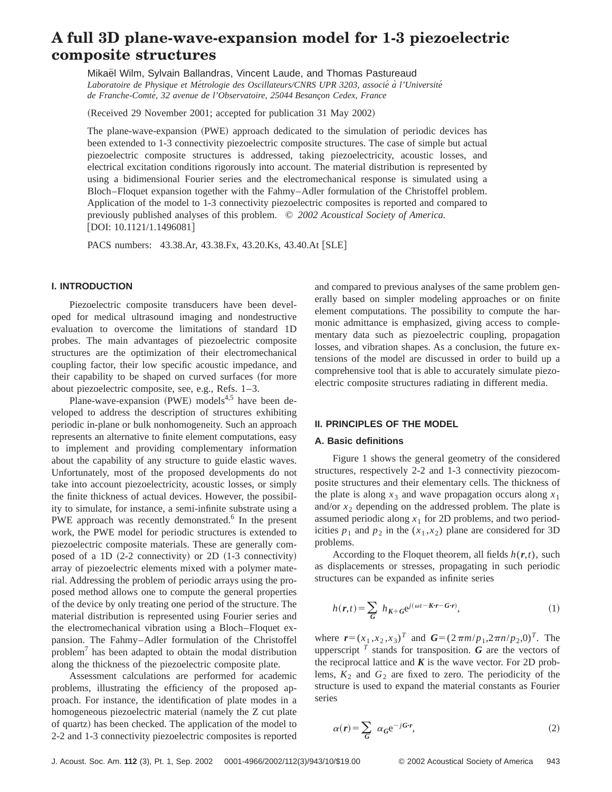# **A full 3D plane-wave-expansion model for 1-3 piezoelectric composite structures**

Mikael Wilm, Sylvain Ballandras, Vincent Laude, and Thomas Pastureaud *Laboratoire de Physique et Me´trologie des Oscillateurs/CNRS UPR 3203, associe´ a` l'Universite´* de Franche-Comté, 32 avenue de l'Observatoire, 25044 Besançon Cedex, France

(Received 29 November 2001; accepted for publication 31 May 2002)

The plane-wave-expansion (PWE) approach dedicated to the simulation of periodic devices has been extended to 1-3 connectivity piezoelectric composite structures. The case of simple but actual piezoelectric composite structures is addressed, taking piezoelectricity, acoustic losses, and electrical excitation conditions rigorously into account. The material distribution is represented by using a bidimensional Fourier series and the electromechanical response is simulated using a Bloch–Floquet expansion together with the Fahmy–Adler formulation of the Christoffel problem. Application of the model to 1-3 connectivity piezoelectric composites is reported and compared to previously published analyses of this problem. © *2002 Acoustical Society of America.* [DOI: 10.1121/1.1496081]

PACS numbers: 43.38.Ar, 43.38.Fx, 43.20.Ks, 43.40.At [SLE]

# **I. INTRODUCTION**

Piezoelectric composite transducers have been developed for medical ultrasound imaging and nondestructive evaluation to overcome the limitations of standard 1D probes. The main advantages of piezoelectric composite structures are the optimization of their electromechanical coupling factor, their low specific acoustic impedance, and their capability to be shaped on curved surfaces (for more about piezoelectric composite, see, e.g., Refs. 1–3.

Plane-wave-expansion  $(PWE)$  models<sup>4,5</sup> have been developed to address the description of structures exhibiting periodic in-plane or bulk nonhomogeneity. Such an approach represents an alternative to finite element computations, easy to implement and providing complementary information about the capability of any structure to guide elastic waves. Unfortunately, most of the proposed developments do not take into account piezoelectricity, acoustic losses, or simply the finite thickness of actual devices. However, the possibility to simulate, for instance, a semi-infinite substrate using a PWE approach was recently demonstrated.<sup>6</sup> In the present work, the PWE model for periodic structures is extended to piezoelectric composite materials. These are generally composed of a 1D  $(2-2$  connectivity) or 2D  $(1-3$  connectivity) array of piezoelectric elements mixed with a polymer material. Addressing the problem of periodic arrays using the proposed method allows one to compute the general properties of the device by only treating one period of the structure. The material distribution is represented using Fourier series and the electromechanical vibration using a Bloch–Floquet expansion. The Fahmy–Adler formulation of the Christoffel problem7 has been adapted to obtain the modal distribution along the thickness of the piezoelectric composite plate.

Assessment calculations are performed for academic problems, illustrating the efficiency of the proposed approach. For instance, the identification of plate modes in a homogeneous piezoelectric material (namely the Z cut plate of quartz) has been checked. The application of the model to 2-2 and 1-3 connectivity piezoelectric composites is reported and compared to previous analyses of the same problem generally based on simpler modeling approaches or on finite element computations. The possibility to compute the harmonic admittance is emphasized, giving access to complementary data such as piezoelectric coupling, propagation losses, and vibration shapes. As a conclusion, the future extensions of the model are discussed in order to build up a comprehensive tool that is able to accurately simulate piezoelectric composite structures radiating in different media.

#### **II. PRINCIPLES OF THE MODEL**

#### **A. Basic definitions**

Figure 1 shows the general geometry of the considered structures, respectively 2-2 and 1-3 connectivity piezocomposite structures and their elementary cells. The thickness of the plate is along  $x_3$  and wave propagation occurs along  $x_1$ and/or  $x<sub>2</sub>$  depending on the addressed problem. The plate is assumed periodic along  $x_1$  for 2D problems, and two periodicities  $p_1$  and  $p_2$  in the  $(x_1, x_2)$  plane are considered for 3D problems.

According to the Floquet theorem, all fields  $h(r,t)$ , such as displacements or stresses, propagating in such periodic structures can be expanded as infinite series

$$
h(\mathbf{r},t) = \sum_{\mathbf{G}} h_{\mathbf{K} + \mathbf{G}} e^{j(\omega t - \mathbf{K}\cdot\mathbf{r} - \mathbf{G}\cdot\mathbf{r})},\tag{1}
$$

where  $\mathbf{r} = (x_1, x_2, x_3)^T$  and  $\mathbf{G} = (2 \pi m/p_1, 2 \pi n/p_2, 0)^T$ . The upperscript  $<sup>T</sup>$  stands for transposition. *G* are the vectors of</sup> the reciprocal lattice and  $K$  is the wave vector. For 2D problems,  $K_2$  and  $G_2$  are fixed to zero. The periodicity of the structure is used to expand the material constants as Fourier series

$$
\alpha(r) = \sum_{G} \alpha_{G} e^{-jG \cdot r}, \qquad (2)
$$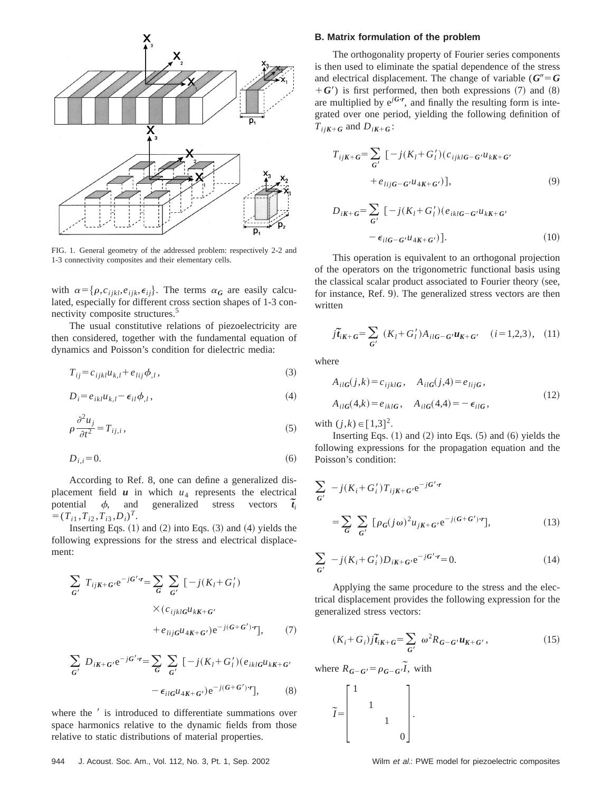

FIG. 1. General geometry of the addressed problem: respectively 2-2 and 1-3 connectivity composites and their elementary cells.

with  $\alpha = {\rho, c_{ijkl}, e_{ijk}, \epsilon_{ij}}$ . The terms  $\alpha_G$  are easily calculated, especially for different cross section shapes of 1-3 connectivity composite structures.<sup>5</sup>

The usual constitutive relations of piezoelectricity are then considered, together with the fundamental equation of dynamics and Poisson's condition for dielectric media:

$$
T_{ij} = c_{ijkl} u_{k,l} + e_{lij} \phi_{,l},\tag{3}
$$

$$
D_i = e_{ikl} u_{k,l} - \epsilon_{il} \phi_{,l},\tag{4}
$$

$$
\rho \frac{\partial^2 u_j}{\partial t^2} = T_{ij,i},\tag{5}
$$

$$
D_{i,i} = 0.\t\t(6)
$$

According to Ref. 8, one can define a generalized displacement field  $u$  in which  $u_4$  represents the electrical potential  $\phi$ , and generalized stress vectors  $\tilde{t}_i$  $=(T_{i1}, T_{i2}, T_{i3}, D_i)^T$ .

Inserting Eqs.  $(1)$  and  $(2)$  into Eqs.  $(3)$  and  $(4)$  yields the following expressions for the stress and electrical displacement:

$$
\sum_{G'} T_{ijK+G'} e^{-jG'\cdot r} = \sum_{G} \sum_{G'} \left[ -j(K_l + G'_l) \times (c_{ijklG} u_{kK+G'} + e_{lijG} u_{4K+G'}) e^{-j(G+G')\cdot r} \right], \tag{7}
$$

$$
\sum_{G'} D_{iK+G'} e^{-jG'\cdot r} = \sum_{G} \sum_{G'} \left[ -j(K_l + G'_l)(e_{iklG}u_{kK+G'} - \epsilon_{ilG}u_{4K+G'})e^{-j(G+G')\cdot r} \right],
$$
 (8)

where the  $\prime$  is introduced to differentiate summations over space harmonics relative to the dynamic fields from those relative to static distributions of material properties.

# **B. Matrix formulation of the problem**

The orthogonality property of Fourier series components is then used to eliminate the spatial dependence of the stress and electrical displacement. The change of variable ( $G''=G$  $+$  *G'*) is first performed, then both expressions (7) and (8) are multiplied by  $e^{jG\cdot r}$ , and finally the resulting form is integrated over one period, yielding the following definition of  $T_{ijK+G}$  and  $D_{iK+G}$ :

$$
T_{ijK+G} = \sum_{G'} \left[ -j(K_l + G'_l)(c_{ijklG-G'}u_{kK+G'} + e_{lijG-G'}u_{4K+G'}) \right],
$$
\n
$$
(9)
$$

$$
D_{iK+G} = \sum_{G'} \left[ -j(K_l + G'_l)(e_{iklG-G'}u_{kK+G'} - \epsilon_{ilG-G'}u_{4K+G'}) \right].
$$
\n(10)

This operation is equivalent to an orthogonal projection of the operators on the trigonometric functional basis using the classical scalar product associated to Fourier theory (see, for instance, Ref. 9). The generalized stress vectors are then written

$$
\tilde{j}\tilde{t}_{iK+G} = \sum_{G'} (K_l + G'_l) A_{ilG-G'} u_{K+G'} \quad (i = 1, 2, 3), \quad (11)
$$

where

$$
A_{ilG}(j,k) = c_{ijklG}, \quad A_{ilG}(j,4) = e_{lijG},
$$
  

$$
A_{ilG}(4,k) = e_{iklG}, \quad A_{ilG}(4,4) = -\epsilon_{ilG},
$$
 (12)

with  $(j,k) \in [1,3]^2$ .

Inserting Eqs.  $(1)$  and  $(2)$  into Eqs.  $(5)$  and  $(6)$  yields the following expressions for the propagation equation and the Poisson's condition:

$$
\sum_{G'} -j(K_i + G'_i)T_{ijK+G'}e^{-jG'r}
$$

$$
= \sum_{G} \sum_{G'} [\rho_G(j\omega)^2 u_{jK+G'}e^{-j(G+G')r}], \qquad (13)
$$

$$
\sum_{G'} -j(K_i + G'_i)D_{iK+G'}e^{-jG'\cdot r} = 0.
$$
\n(14)

Applying the same procedure to the stress and the electrical displacement provides the following expression for the generalized stress vectors:

$$
(K_i + G_i)\tilde{J}t_{iK+G} = \sum_{G'} \omega^2 R_{G-G'} u_{K+G'},
$$
\n(15)

where  $R_{G-G'} = \rho_{G-G'} \tilde{I}$ , with

$$
\widetilde{I} = \begin{bmatrix} 1 & & & \\ & 1 & & \\ & & 1 & \\ & & & 0 \end{bmatrix}.
$$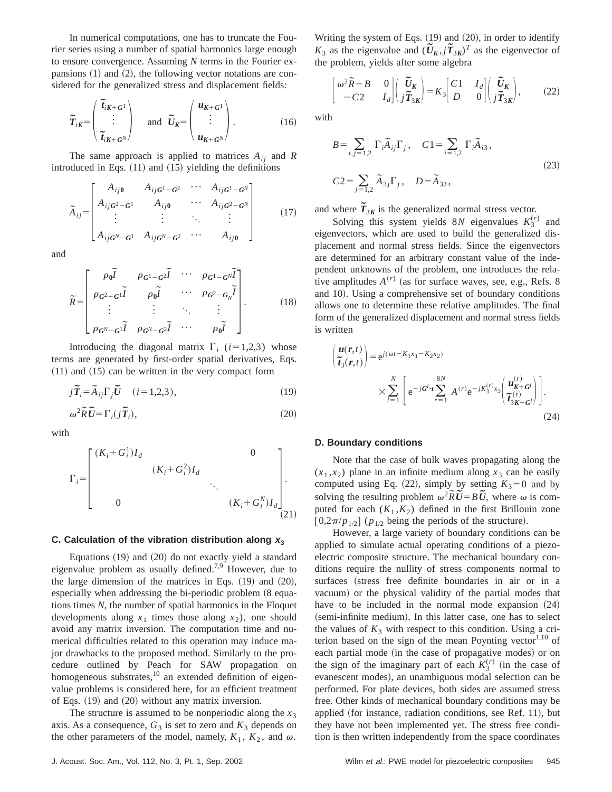In numerical computations, one has to truncate the Fourier series using a number of spatial harmonics large enough to ensure convergence. Assuming *N* terms in the Fourier expansions  $(1)$  and  $(2)$ , the following vector notations are considered for the generalized stress and displacement fields:

$$
\widetilde{T}_{iK} = \begin{pmatrix} \widetilde{t}_{iK+G^1} \\ \vdots \\ \widetilde{t}_{iK+G^N} \end{pmatrix} \text{ and } \widetilde{U}_K = \begin{pmatrix} u_{K+G^1} \\ \vdots \\ u_{K+G^N} \end{pmatrix}.
$$
 (16)

The same approach is applied to matrices  $A_{ij}$  and  $R$ introduced in Eqs.  $(11)$  and  $(15)$  yielding the definitions

$$
\tilde{A}_{ij} = \begin{bmatrix}\nA_{ij0} & A_{ijG^1 - G^2} & \cdots & A_{ijG^1 - G^N} \\
A_{ijG^2 - G^1} & A_{ij0} & \cdots & A_{ijG^2 - G^N} \\
\vdots & \vdots & \ddots & \vdots \\
A_{ijG^N - G^1} & A_{ijG^N - G^2} & \cdots & A_{ij0}\n\end{bmatrix}
$$
\n(17)

and

$$
\widetilde{R} = \begin{bmatrix}\n\rho_0 \widetilde{I} & \rho_{G^1 - G^2} \widetilde{I} & \cdots & \rho_{G^1 - G^N} \widetilde{I} \\
\rho_{G^2 - G^1} \widetilde{I} & \rho_0 \widetilde{I} & \cdots & \rho_{G^2 - G_N} \widetilde{I} \\
\vdots & \vdots & \ddots & \vdots \\
\rho_{G^N - G^1} \widetilde{I} & \rho_{G^N - G^2} \widetilde{I} & \cdots & \rho_0 \widetilde{I}\n\end{bmatrix} .
$$
\n(18)

Introducing the diagonal matrix  $\Gamma_i$  (*i*=1,2,3) whose terms are generated by first-order spatial derivatives, Eqs.  $(11)$  and  $(15)$  can be written in the very compact form

$$
j\tilde{T}_i = \tilde{A}_{ij}\Gamma_j\tilde{U} \quad (i = 1, 2, 3), \tag{19}
$$

$$
\omega^2 \widetilde{R} \widetilde{U} = \Gamma_i(j \widetilde{T}_i),\tag{20}
$$

with

$$
\Gamma_{i} = \begin{bmatrix} (K_{i} + G_{i}^{1})I_{d} & 0 \\ & (K_{i} + G_{i}^{2})I_{d} & & \\ & \ddots & \ddots & \\ 0 & & (K_{i} + G_{i}^{N})I_{d} \end{bmatrix} .
$$
\n(21)

# C. Calculation of the vibration distribution along  $x_3$

Equations  $(19)$  and  $(20)$  do not exactly yield a standard eigenvalue problem as usually defined.<sup>7,9</sup> However, due to the large dimension of the matrices in Eqs.  $(19)$  and  $(20)$ , especially when addressing the bi-periodic problem  $(8 \text{ equa} - 1)$ tions times *N*, the number of spatial harmonics in the Floquet developments along  $x_1$  times those along  $x_2$ ), one should avoid any matrix inversion. The computation time and numerical difficulties related to this operation may induce major drawbacks to the proposed method. Similarly to the procedure outlined by Peach for SAW propagation on homogeneous substrates,<sup>10</sup> an extended definition of eigenvalue problems is considered here, for an efficient treatment of Eqs.  $(19)$  and  $(20)$  without any matrix inversion.

The structure is assumed to be nonperiodic along the  $x_3$ axis. As a consequence,  $G_3$  is set to zero and  $K_3$  depends on the other parameters of the model, namely,  $K_1$ ,  $K_2$ , and  $\omega$ .

Writing the system of Eqs.  $(19)$  and  $(20)$ , in order to identify *K*<sub>3</sub> as the eigenvalue and  $(\tilde{U}_K, j\tilde{T}_{3K})^T$  as the eigenvector of the problem, yields after some algebra

$$
\begin{bmatrix} \omega^2 \widetilde{R} - B & 0 \\ -C2 & I_d \end{bmatrix} \begin{bmatrix} \widetilde{U}_K \\ j \widetilde{T}_{3K} \end{bmatrix} = K_3 \begin{bmatrix} C1 & I_d \\ D & 0 \end{bmatrix} \begin{bmatrix} \widetilde{U}_K \\ j \widetilde{T}_{3K} \end{bmatrix},
$$
 (22)

with

$$
B = \sum_{i,j=1,2} \Gamma_i \tilde{A}_{ij} \Gamma_j, \quad C1 = \sum_{i=1,2} \Gamma_i \tilde{A}_{i3},
$$
  

$$
C2 = \sum_{j=1,2} \tilde{A}_{3j} \Gamma_j, \quad D = \tilde{A}_{33},
$$
 (23)

and where  $\tilde{T}_{3K}$  is the generalized normal stress vector.

Solving this system yields 8*N* eigenvalues  $K_3^{(r)}$  and eigenvectors, which are used to build the generalized displacement and normal stress fields. Since the eigenvectors are determined for an arbitrary constant value of the independent unknowns of the problem, one introduces the relative amplitudes  $A^{(r)}$  (as for surface waves, see, e.g., Refs. 8) and 10). Using a comprehensive set of boundary conditions allows one to determine these relative amplitudes. The final form of the generalized displacement and normal stress fields is written

$$
\begin{aligned}\n\left(\frac{u(r,t)}{\tilde{t}_3(r,t)}\right) &= \mathbf{e}^{j(\omega t - K_1 x_1 - K_2 x_2)} \\
&\times \sum_{l=1}^N \left[ \mathbf{e}^{-jG^l \cdot \mathbf{r}} \sum_{r=1}^{8N} A^{(r)} \mathbf{e}^{-jK_3^{(r)}x_3} \left(\frac{u_{K+G^l}^{(r)}}{\tilde{t}_{3K+G^l}^{(r)}}\right) \right].\n\end{aligned}
$$
\n(24)

#### **D. Boundary conditions**

Note that the case of bulk waves propagating along the  $(x_1, x_2)$  plane in an infinite medium along  $x_3$  can be easily computed using Eq. (22), simply by setting  $K_3=0$  and by solving the resulting problem  $\omega^2 \tilde{R} \tilde{U} = B \tilde{U}$ , where  $\omega$  is computed for each  $(K_1, K_2)$  defined in the first Brillouin zone  $[0,2\pi/p_{1/2}]$  ( $p_{1/2}$  being the periods of the structure).

However, a large variety of boundary conditions can be applied to simulate actual operating conditions of a piezoelectric composite structure. The mechanical boundary conditions require the nullity of stress components normal to surfaces (stress free definite boundaries in air or in a vacuum) or the physical validity of the partial modes that have to be included in the normal mode expansion  $(24)$ (semi-infinite medium). In this latter case, one has to select the values of  $K_3$  with respect to this condition. Using a criterion based on the sign of the mean Poynting vector $1,10$  of each partial mode (in the case of propagative modes) or on the sign of the imaginary part of each  $K_3^{(r)}$  (in the case of evanescent modes), an unambiguous modal selection can be performed. For plate devices, both sides are assumed stress free. Other kinds of mechanical boundary conditions may be applied (for instance, radiation conditions, see Ref. 11), but they have not been implemented yet. The stress free condition is then written independently from the space coordinates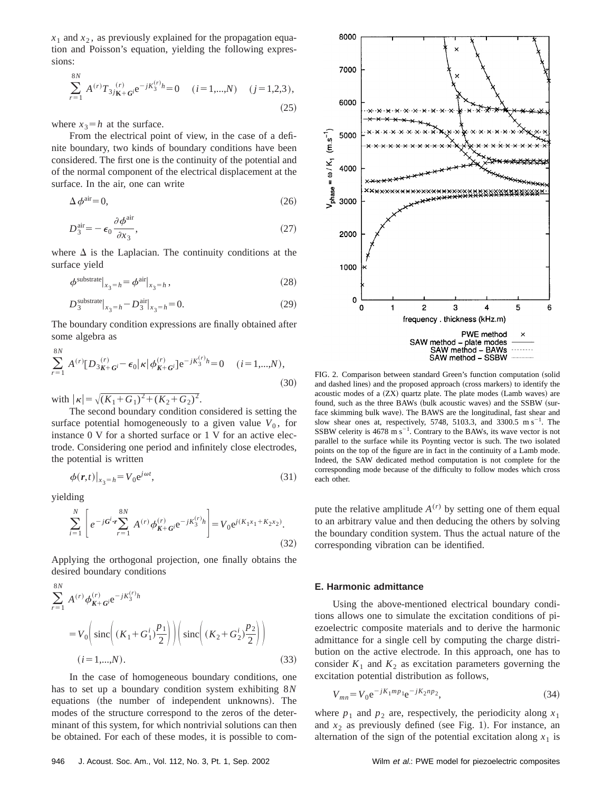$x_1$  and  $x_2$ , as previously explained for the propagation equation and Poisson's equation, yielding the following expressions:

$$
\sum_{r=1}^{8N} A^{(r)} T_{3j\mathbf{K} + \mathbf{G}^j} e^{-jK_3^{(r)}h} = 0 \quad (i = 1,...,N) \quad (j = 1,2,3),
$$
\n(25)

where  $x_3 = h$  at the surface.

From the electrical point of view, in the case of a definite boundary, two kinds of boundary conditions have been considered. The first one is the continuity of the potential and of the normal component of the electrical displacement at the surface. In the air, one can write

$$
\Delta \phi^{\text{air}} = 0,\tag{26}
$$

$$
D_3^{\text{air}} = -\epsilon_0 \frac{\partial \phi^{\text{air}}}{\partial x_3},\tag{27}
$$

where  $\Delta$  is the Laplacian. The continuity conditions at the surface yield

$$
\phi^{\text{substrate}}|_{x_3=h} = \phi^{\text{air}}|_{x_3=h} \,,\tag{28}
$$

$$
D_3^{\text{substrate}}\big|_{x_3 = h} - D_3^{\text{air}}\big|_{x_3 = h} = 0. \tag{29}
$$

The boundary condition expressions are finally obtained after some algebra as

$$
\sum_{r=1}^{8N} A^{(r)} [D_{3K+G}^{(r)} - \epsilon_0 | \kappa | \phi_{K+G}^{(r)}] e^{-jK_3^{(r)}h} = 0 \quad (i = 1,...,N),
$$
\n(30)

with  $|\kappa| = \sqrt{(K_1+G_1)^2+(K_2+G_2)^2}$ .

The second boundary condition considered is setting the surface potential homogeneously to a given value  $V_0$ , for instance 0 V for a shorted surface or 1 V for an active electrode. Considering one period and infinitely close electrodes, the potential is written

$$
\phi(r,t)|_{x_3=h} = V_0 e^{j\omega t},\tag{31}
$$

yielding

$$
\sum_{i=1}^{N} \left[ e^{-jG^{i} \cdot \mathbf{r}} \sum_{r=1}^{8N} A^{(r)} \phi_{\mathbf{K} + G^{i}}^{(r)} e^{-jK_{3}^{(r)} h} \right] = V_{0} e^{j(K_{1}x_{1} + K_{2}x_{2})}.
$$
\n(32)

Applying the orthogonal projection, one finally obtains the desired boundary conditions

$$
\sum_{r=1}^{8N} A^{(r)} \phi_{\mathbf{K}+\mathbf{G}i}^{(r)} e^{-jK_3^{(r)}h}
$$
  
=  $V_0 \Big( \text{sinc} \Big( (K_1 + G_1^i) \frac{p_1}{2} \Big) \Big) \Big( \text{sinc} \Big( (K_2 + G_2^i) \frac{p_2}{2} \Big) \Big)$   
(*i* = 1,...,*N*). (33)

In the case of homogeneous boundary conditions, one has to set up a boundary condition system exhibiting 8*N* equations (the number of independent unknowns). The modes of the structure correspond to the zeros of the determinant of this system, for which nontrivial solutions can then be obtained. For each of these modes, it is possible to com-



FIG. 2. Comparison between standard Green's function computation (solid and dashed lines) and the proposed approach (cross markers) to identify the acoustic modes of a  $(ZX)$  quartz plate. The plate modes  $(Lamb$  waves) are found, such as the three BAWs (bulk acoustic waves) and the SSBW (surface skimming bulk wave). The BAWS are the longitudinal, fast shear and slow shear ones at, respectively, 5748, 5103.3, and 3300.5  $\text{m s}^{-1}$ . The SSBW celerity is 4678 m  $s^{-1}$ . Contrary to the BAWs, its wave vector is not parallel to the surface while its Poynting vector is such. The two isolated points on the top of the figure are in fact in the continuity of a Lamb mode. Indeed, the SAW dedicated method computation is not complete for the corresponding mode because of the difficulty to follow modes which cross each other.

pute the relative amplitude  $A^{(r)}$  by setting one of them equal to an arbitrary value and then deducing the others by solving the boundary condition system. Thus the actual nature of the corresponding vibration can be identified.

#### **E. Harmonic admittance**

Using the above-mentioned electrical boundary conditions allows one to simulate the excitation conditions of piezoelectric composite materials and to derive the harmonic admittance for a single cell by computing the charge distribution on the active electrode. In this approach, one has to consider  $K_1$  and  $K_2$  as excitation parameters governing the excitation potential distribution as follows,

$$
V_{mn} = V_0 e^{-jK_1mp_1} e^{-jK_2np_2},\tag{34}
$$

where  $p_1$  and  $p_2$  are, respectively, the periodicity along  $x_1$ and  $x_2$  as previously defined (see Fig. 1). For instance, an alternation of the sign of the potential excitation along  $x_1$  is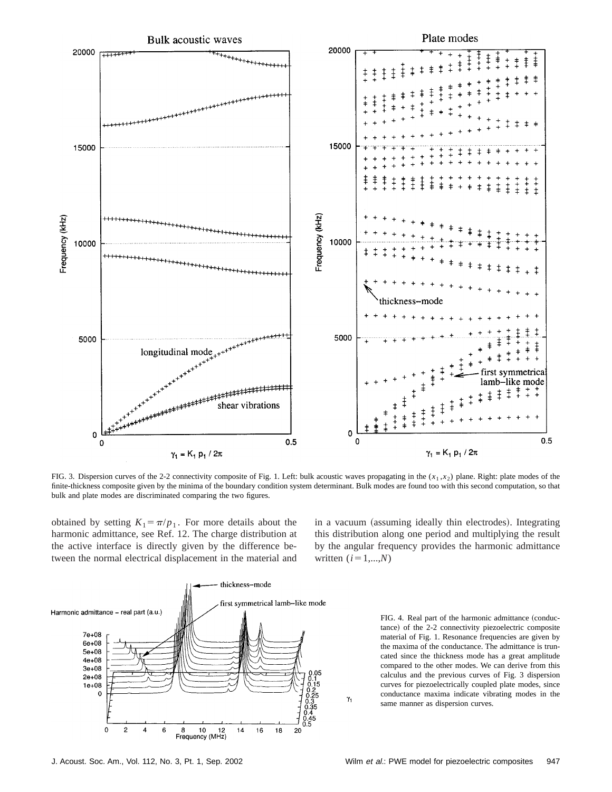

FIG. 3. Dispersion curves of the 2-2 connectivity composite of Fig. 1. Left: bulk acoustic waves propagating in the (*x*<sup>1</sup> ,*x*2) plane. Right: plate modes of the finite-thickness composite given by the minima of the boundary condition system determinant. Bulk modes are found too with this second computation, so that bulk and plate modes are discriminated comparing the two figures.

 $\gamma_1$ 

obtained by setting  $K_1 = \pi/p_1$ . For more details about the harmonic admittance, see Ref. 12. The charge distribution at the active interface is directly given by the difference between the normal electrical displacement in the material and in a vacuum (assuming ideally thin electrodes). Integrating this distribution along one period and multiplying the result by the angular frequency provides the harmonic admittance written  $(i=1,...,N)$ 



FIG. 4. Real part of the harmonic admittance (conductance) of the 2-2 connectivity piezoelectric composite material of Fig. 1. Resonance frequencies are given by the maxima of the conductance. The admittance is truncated since the thickness mode has a great amplitude compared to the other modes. We can derive from this calculus and the previous curves of Fig. 3 dispersion curves for piezoelectrically coupled plate modes, since conductance maxima indicate vibrating modes in the same manner as dispersion curves.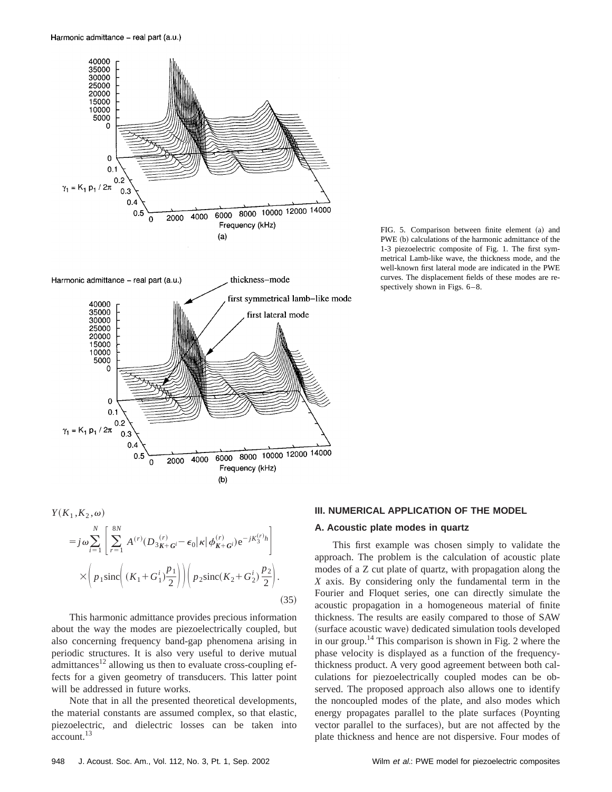





This harmonic admittance provides precious information about the way the modes are piezoelectrically coupled, but also concerning frequency band-gap phenomena arising in periodic structures. It is also very useful to derive mutual admittances<sup>12</sup> allowing us then to evaluate cross-coupling effects for a given geometry of transducers. This latter point will be addressed in future works.

Note that in all the presented theoretical developments, the material constants are assumed complex, so that elastic, piezoelectric, and dielectric losses can be taken into account.13

#### **III. NUMERICAL APPLICATION OF THE MODEL**

## **A. Acoustic plate modes in quartz**

This first example was chosen simply to validate the approach. The problem is the calculation of acoustic plate modes of a Z cut plate of quartz, with propagation along the *X* axis. By considering only the fundamental term in the Fourier and Floquet series, one can directly simulate the acoustic propagation in a homogeneous material of finite thickness. The results are easily compared to those of SAW (surface acoustic wave) dedicated simulation tools developed in our group.<sup>14</sup> This comparison is shown in Fig. 2 where the phase velocity is displayed as a function of the frequencythickness product. A very good agreement between both calculations for piezoelectrically coupled modes can be observed. The proposed approach also allows one to identify the noncoupled modes of the plate, and also modes which energy propagates parallel to the plate surfaces (Poynting vector parallel to the surfaces), but are not affected by the plate thickness and hence are not dispersive. Four modes of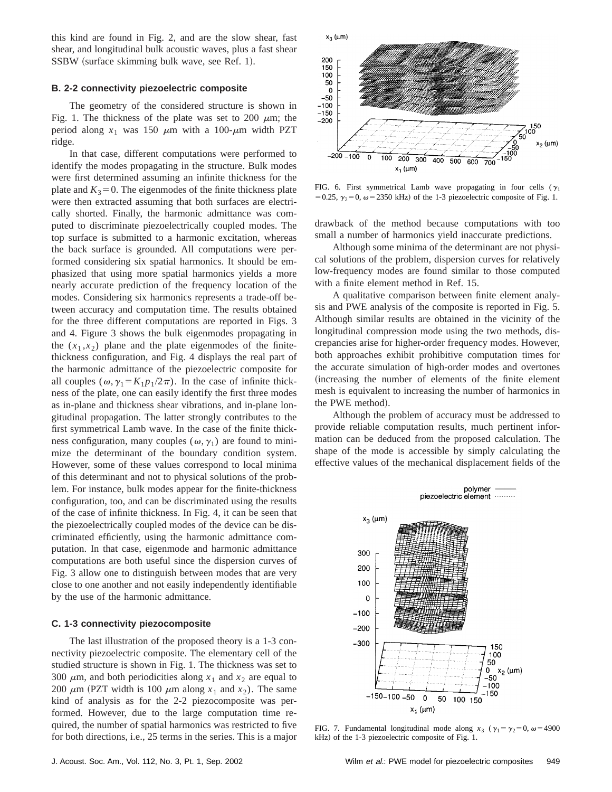this kind are found in Fig. 2, and are the slow shear, fast shear, and longitudinal bulk acoustic waves, plus a fast shear SSBW (surface skimming bulk wave, see Ref. 1).

## **B. 2-2 connectivity piezoelectric composite**

The geometry of the considered structure is shown in Fig. 1. The thickness of the plate was set to 200  $\mu$ m; the period along  $x_1$  was 150  $\mu$ m with a 100- $\mu$ m width PZT ridge.

In that case, different computations were performed to identify the modes propagating in the structure. Bulk modes were first determined assuming an infinite thickness for the plate and  $K_3=0$ . The eigenmodes of the finite thickness plate were then extracted assuming that both surfaces are electrically shorted. Finally, the harmonic admittance was computed to discriminate piezoelectrically coupled modes. The top surface is submitted to a harmonic excitation, whereas the back surface is grounded. All computations were performed considering six spatial harmonics. It should be emphasized that using more spatial harmonics yields a more nearly accurate prediction of the frequency location of the modes. Considering six harmonics represents a trade-off between accuracy and computation time. The results obtained for the three different computations are reported in Figs. 3 and 4. Figure 3 shows the bulk eigenmodes propagating in the  $(x_1, x_2)$  plane and the plate eigenmodes of the finitethickness configuration, and Fig. 4 displays the real part of the harmonic admittance of the piezoelectric composite for all couples  $(\omega, \gamma_1 = K_1 p_1/2\pi)$ . In the case of infinite thickness of the plate, one can easily identify the first three modes as in-plane and thickness shear vibrations, and in-plane longitudinal propagation. The latter strongly contributes to the first symmetrical Lamb wave. In the case of the finite thickness configuration, many couples ( $\omega$ ,  $\gamma$ <sub>1</sub>) are found to minimize the determinant of the boundary condition system. However, some of these values correspond to local minima of this determinant and not to physical solutions of the problem. For instance, bulk modes appear for the finite-thickness configuration, too, and can be discriminated using the results of the case of infinite thickness. In Fig. 4, it can be seen that the piezoelectrically coupled modes of the device can be discriminated efficiently, using the harmonic admittance computation. In that case, eigenmode and harmonic admittance computations are both useful since the dispersion curves of Fig. 3 allow one to distinguish between modes that are very close to one another and not easily independently identifiable by the use of the harmonic admittance.

### **C. 1-3 connectivity piezocomposite**

The last illustration of the proposed theory is a 1-3 connectivity piezoelectric composite. The elementary cell of the studied structure is shown in Fig. 1. The thickness was set to 300  $\mu$ m, and both periodicities along  $x_1$  and  $x_2$  are equal to 200  $\mu$ m (PZT width is 100  $\mu$ m along  $x_1$  and  $x_2$ ). The same kind of analysis as for the 2-2 piezocomposite was performed. However, due to the large computation time required, the number of spatial harmonics was restricted to five for both directions, i.e., 25 terms in the series. This is a major



FIG. 6. First symmetrical Lamb wave propagating in four cells ( $\gamma_1$ ) = 0.25,  $\gamma_2$ = 0,  $\omega$  = 2350 kHz) of the 1-3 piezoelectric composite of Fig. 1.

drawback of the method because computations with too small a number of harmonics yield inaccurate predictions.

Although some minima of the determinant are not physical solutions of the problem, dispersion curves for relatively low-frequency modes are found similar to those computed with a finite element method in Ref. 15.

A qualitative comparison between finite element analysis and PWE analysis of the composite is reported in Fig. 5. Although similar results are obtained in the vicinity of the longitudinal compression mode using the two methods, discrepancies arise for higher-order frequency modes. However, both approaches exhibit prohibitive computation times for the accurate simulation of high-order modes and overtones (increasing the number of elements of the finite element mesh is equivalent to increasing the number of harmonics in the PWE method).

Although the problem of accuracy must be addressed to provide reliable computation results, much pertinent information can be deduced from the proposed calculation. The shape of the mode is accessible by simply calculating the effective values of the mechanical displacement fields of the



FIG. 7. Fundamental longitudinal mode along  $x_3$  ( $\gamma_1 = \gamma_2 = 0$ ,  $\omega = 4900$ kHz) of the 1-3 piezoelectric composite of Fig. 1.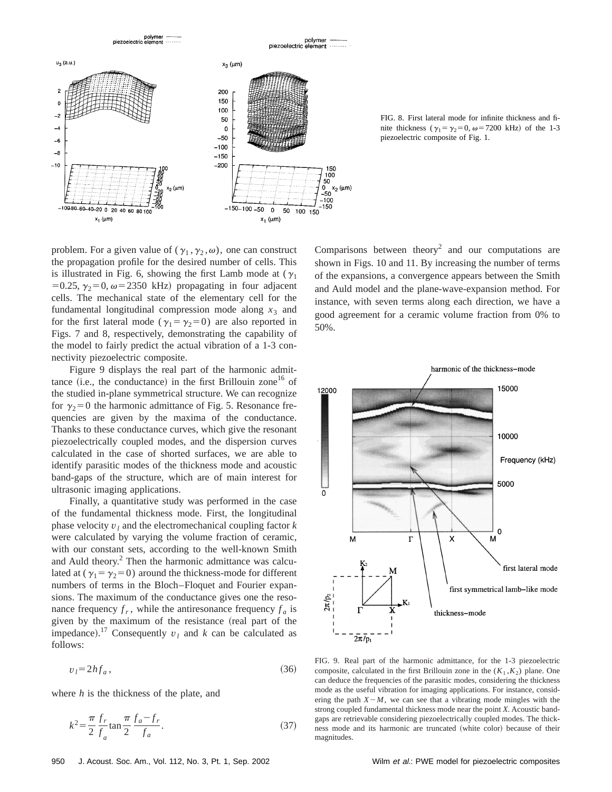

FIG. 8. First lateral mode for infinite thickness and finite thickness ( $\gamma_1 = \gamma_2 = 0$ ,  $\omega = 7200$  kHz) of the 1-3 piezoelectric composite of Fig. 1.

problem. For a given value of  $(\gamma_1, \gamma_2, \omega)$ , one can construct the propagation profile for the desired number of cells. This is illustrated in Fig. 6, showing the first Lamb mode at  $(\gamma_1)$ =0.25,  $\gamma_2$ =0,  $\omega$ =2350 kHz) propagating in four adjacent cells. The mechanical state of the elementary cell for the fundamental longitudinal compression mode along  $x_3$  and for the first lateral mode ( $\gamma_1 = \gamma_2 = 0$ ) are also reported in Figs. 7 and 8, respectively, demonstrating the capability of the model to fairly predict the actual vibration of a 1-3 connectivity piezoelectric composite.

Figure 9 displays the real part of the harmonic admittance (i.e., the conductance) in the first Brillouin zone<sup>16</sup> of the studied in-plane symmetrical structure. We can recognize for  $\gamma_2=0$  the harmonic admittance of Fig. 5. Resonance frequencies are given by the maxima of the conductance. Thanks to these conductance curves, which give the resonant piezoelectrically coupled modes, and the dispersion curves calculated in the case of shorted surfaces, we are able to identify parasitic modes of the thickness mode and acoustic band-gaps of the structure, which are of main interest for ultrasonic imaging applications.

Finally, a quantitative study was performed in the case of the fundamental thickness mode. First, the longitudinal phase velocity *v<sup>l</sup>* and the electromechanical coupling factor *k* were calculated by varying the volume fraction of ceramic, with our constant sets, according to the well-known Smith and Auld theory.<sup>2</sup> Then the harmonic admittance was calculated at ( $\gamma_1 = \gamma_2 = 0$ ) around the thickness-mode for different numbers of terms in the Bloch–Floquet and Fourier expansions. The maximum of the conductance gives one the resonance frequency  $f_r$ , while the antiresonance frequency  $f_a$  is given by the maximum of the resistance (real part of the impedance).<sup>17</sup> Consequently  $v_l$  and  $k$  can be calculated as follows:

$$
v_l = 2hf_a,\tag{36}
$$

where *h* is the thickness of the plate, and

$$
k^{2} = \frac{\pi}{2} \frac{f_{r}}{f_{a}} \tan \frac{\pi}{2} \frac{f_{a} - f_{r}}{f_{a}}.
$$
 (37)

Comparisons between theory<sup>2</sup> and our computations are shown in Figs. 10 and 11. By increasing the number of terms of the expansions, a convergence appears between the Smith and Auld model and the plane-wave-expansion method. For instance, with seven terms along each direction, we have a good agreement for a ceramic volume fraction from 0% to 50%.



FIG. 9. Real part of the harmonic admittance, for the 1-3 piezoelectric composite, calculated in the first Brillouin zone in the  $(K_1, K_2)$  plane. One can deduce the frequencies of the parasitic modes, considering the thickness mode as the useful vibration for imaging applications. For instance, considering the path  $X-M$ , we can see that a vibrating mode mingles with the strong coupled fundamental thickness mode near the point *X*. Acoustic bandgaps are retrievable considering piezoelectrically coupled modes. The thickness mode and its harmonic are truncated (white color) because of their magnitudes.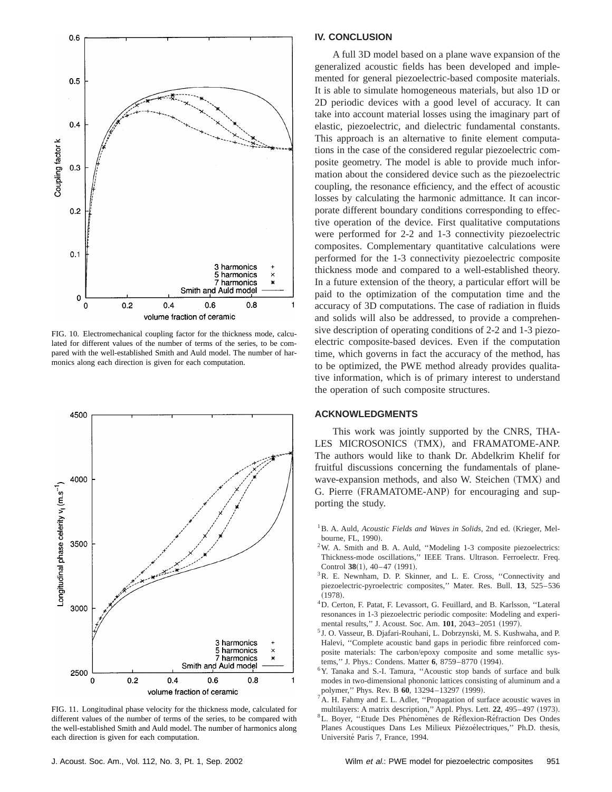

FIG. 10. Electromechanical coupling factor for the thickness mode, calculated for different values of the number of terms of the series, to be compared with the well-established Smith and Auld model. The number of harmonics along each direction is given for each computation.



FIG. 11. Longitudinal phase velocity for the thickness mode, calculated for different values of the number of terms of the series, to be compared with the well-established Smith and Auld model. The number of harmonics along each direction is given for each computation.

## **IV. CONCLUSION**

A full 3D model based on a plane wave expansion of the generalized acoustic fields has been developed and implemented for general piezoelectric-based composite materials. It is able to simulate homogeneous materials, but also 1D or 2D periodic devices with a good level of accuracy. It can take into account material losses using the imaginary part of elastic, piezoelectric, and dielectric fundamental constants. This approach is an alternative to finite element computations in the case of the considered regular piezoelectric composite geometry. The model is able to provide much information about the considered device such as the piezoelectric coupling, the resonance efficiency, and the effect of acoustic losses by calculating the harmonic admittance. It can incorporate different boundary conditions corresponding to effective operation of the device. First qualitative computations were performed for 2-2 and 1-3 connectivity piezoelectric composites. Complementary quantitative calculations were performed for the 1-3 connectivity piezoelectric composite thickness mode and compared to a well-established theory. In a future extension of the theory, a particular effort will be paid to the optimization of the computation time and the accuracy of 3D computations. The case of radiation in fluids and solids will also be addressed, to provide a comprehensive description of operating conditions of 2-2 and 1-3 piezoelectric composite-based devices. Even if the computation time, which governs in fact the accuracy of the method, has to be optimized, the PWE method already provides qualitative information, which is of primary interest to understand the operation of such composite structures.

#### **ACKNOWLEDGMENTS**

This work was jointly supported by the CNRS, THA-LES MICROSONICS (TMX), and FRAMATOME-ANP. The authors would like to thank Dr. Abdelkrim Khelif for fruitful discussions concerning the fundamentals of planewave-expansion methods, and also W. Steichen (TMX) and G. Pierre (FRAMATOME-ANP) for encouraging and supporting the study.

- <sup>1</sup>B. A. Auld, *Acoustic Fields and Waves in Solids*, 2nd ed. (Krieger, Melbourne, FL, 1990).
- 2W. A. Smith and B. A. Auld, ''Modeling 1-3 composite piezoelectrics: Thickness-mode oscillations,'' IEEE Trans. Ultrason. Ferroelectr. Freq. Control 38(1), 40–47 (1991).
- <sup>3</sup>R. E. Newnham, D. P. Skinner, and L. E. Cross, "Connectivity and piezoelectric-pyroelectric composites,'' Mater. Res. Bull. **13**, 525–536  $(1978).$
- 4D. Certon, F. Patat, F. Levassort, G. Feuillard, and B. Karlsson, ''Lateral resonances in 1-3 piezoelectric periodic composite: Modeling and experimental results," J. Acoust. Soc. Am. 101, 2043-2051 (1997).
- <sup>5</sup> J. O. Vasseur, B. Djafari-Rouhani, L. Dobrzynski, M. S. Kushwaha, and P. Halevi, "Complete acoustic band gaps in periodic fibre reinforced composite materials: The carbon/epoxy composite and some metallic systems," J. Phys.: Condens. Matter 6, 8759-8770 (1994).
- <sup>6</sup>Y. Tanaka and S.-I. Tamura, "Acoustic stop bands of surface and bulk modes in two-dimensional phononic lattices consisting of aluminum and a polymer," Phys. Rev. B 60, 13294-13297 (1999).
- <sup>7</sup>A. H. Fahmy and E. L. Adler, "Propagation of surface acoustic waves in multilayers: A matrix description," Appl. Phys. Lett. 22, 495-497 (1973). <sup>8</sup>L. Boyer, "Etude Des Phénomènes de Réflexion-Réfraction Des Ondes Planes Acoustiques Dans Les Milieux Piézoélectriques," Ph.D. thesis, Université Paris 7, France, 1994.